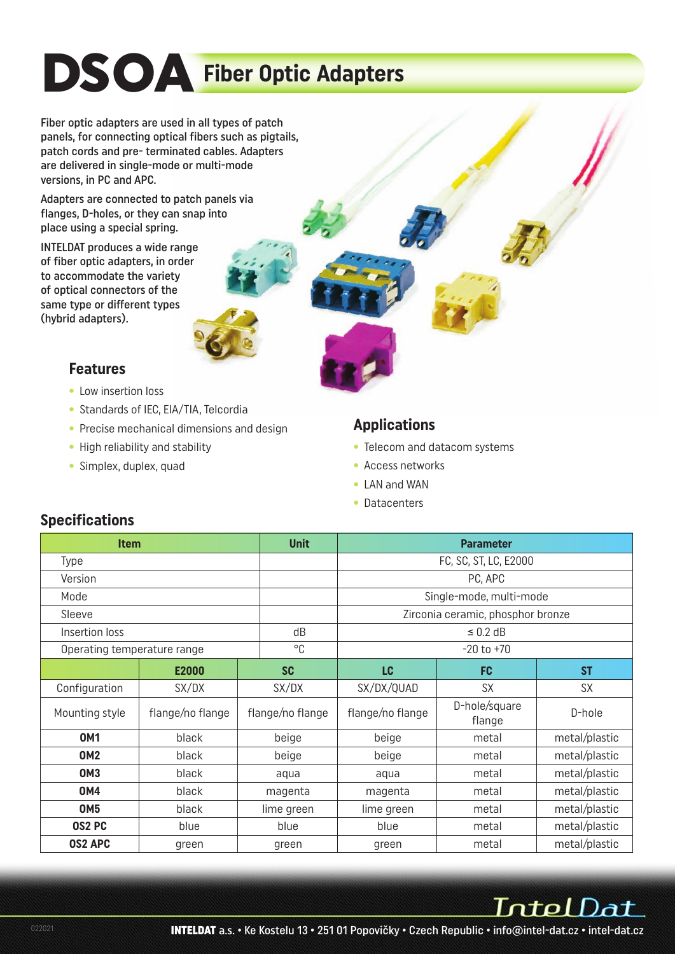# **DSOA Fiber Optic Adapters**

Fiber optic adapters are used in all types of patch panels, for connecting optical fibers such as pigtails, patch cords and pre- terminated cables. Adapters are delivered in single-mode or multi-mode versions, in PC and APC.

Adapters are connected to patch panels via flanges, D-holes, or they can snap into place using a special spring.

INTELDAT produces a wide range of fiber optic adapters, in order to accommodate the variety of optical connectors of the same type or different types (hybrid adapters).

#### **Features**

- Low insertion loss
- Standards of IEC, EIA/TIA, Telcordia
- Precise mechanical dimensions and design
- High reliability and stability
- Simplex, duplex, quad

#### **Applications**

- Telecom and datacom systems
- Access networks
- LAN and WAN
- Datacenters

| <b>Specifications</b> |
|-----------------------|
|-----------------------|

| <b>Item</b>                 |                  | <b>Unit</b>      | <b>Parameter</b>                  |                         |               |  |  |
|-----------------------------|------------------|------------------|-----------------------------------|-------------------------|---------------|--|--|
| Type                        |                  |                  | FC, SC, ST, LC, E2000             |                         |               |  |  |
| Version                     |                  |                  | PC, APC                           |                         |               |  |  |
| Mode                        |                  |                  | Single-mode, multi-mode           |                         |               |  |  |
| Sleeve                      |                  |                  | Zirconia ceramic, phosphor bronze |                         |               |  |  |
| Insertion loss              |                  | dB               | $\leq$ 0.2 dB                     |                         |               |  |  |
| Operating temperature range |                  | °C               | $-20$ to $+70$                    |                         |               |  |  |
|                             | E2000            | <b>SC</b>        | <b>LC</b>                         | <b>FC</b>               | <b>ST</b>     |  |  |
| Configuration               | SX/DX            | SX/DX            | SX/DX/QUAD                        | <b>SX</b>               | <b>SX</b>     |  |  |
| Mounting style              | flange/no flange | flange/no flange | flange/no flange                  | D-hole/square<br>flange | D-hole        |  |  |
| <b>OM1</b>                  | black            | beige            | beige                             | metal                   |               |  |  |
| <b>OM2</b>                  | black            | beige            | beige                             | metal                   | metal/plastic |  |  |
| <b>OM3</b>                  | black            | aqua             | aqua                              | metal                   | metal/plastic |  |  |
| <b>OM4</b>                  | black<br>magenta |                  |                                   | magenta<br>metal        |               |  |  |
| <b>OM5</b>                  | black            | lime green       | lime green                        | metal/plastic           |               |  |  |
| OS2 PC                      | blue             | blue             | blue                              | metal                   | metal/plastic |  |  |
| <b>OS2 APC</b>              | green            | green            | metal/plastic<br>metal<br>green   |                         |               |  |  |